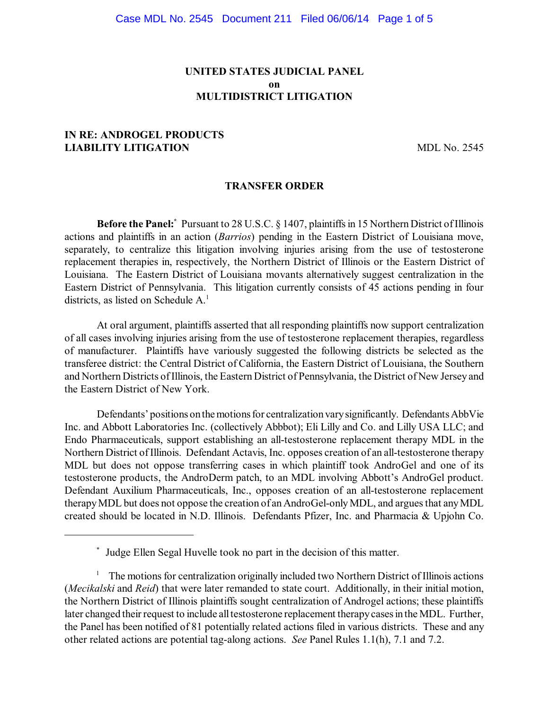# **UNITED STATES JUDICIAL PANEL on MULTIDISTRICT LITIGATION**

# **IN RE: ANDROGEL PRODUCTS LIABILITY LITIGATION** MDL No. 2545

### **TRANSFER ORDER**

**Before the Panel:** Pursuant to 28 U.S.C. § 1407, plaintiffs in 15 Northern District of Illinois actions and plaintiffs in an action (*Barrios*) pending in the Eastern District of Louisiana move, separately, to centralize this litigation involving injuries arising from the use of testosterone replacement therapies in, respectively, the Northern District of Illinois or the Eastern District of Louisiana. The Eastern District of Louisiana movants alternatively suggest centralization in the Eastern District of Pennsylvania. This litigation currently consists of 45 actions pending in four districts, as listed on Schedule A. 1

At oral argument, plaintiffs asserted that all responding plaintiffs now support centralization of all cases involving injuries arising from the use of testosterone replacement therapies, regardless of manufacturer. Plaintiffs have variously suggested the following districts be selected as the transferee district: the Central District of California, the Eastern District of Louisiana, the Southern and Northern Districts ofIllinois, the Eastern District of Pennsylvania, the District of New Jersey and the Eastern District of New York.

Defendants' positions on the motions for centralization vary significantly. Defendants AbbVie Inc. and Abbott Laboratories Inc. (collectively Abbbot); Eli Lilly and Co. and Lilly USA LLC; and Endo Pharmaceuticals, support establishing an all-testosterone replacement therapy MDL in the Northern District ofIllinois. Defendant Actavis, Inc. opposes creation of an all-testosterone therapy MDL but does not oppose transferring cases in which plaintiff took AndroGel and one of its testosterone products, the AndroDerm patch, to an MDL involving Abbott's AndroGel product. Defendant Auxilium Pharmaceuticals, Inc., opposes creation of an all-testosterone replacement therapy MDL but does not oppose the creation of an AndroGel-only MDL, and argues that any MDL created should be located in N.D. Illinois. Defendants Pfizer, Inc. and Pharmacia & Upjohn Co.

Judge Ellen Segal Huvelle took no part in the decision of this matter. \*

 $1$  The motions for centralization originally included two Northern District of Illinois actions (*Mecikalski* and *Reid*) that were later remanded to state court. Additionally, in their initial motion, the Northern District of Illinois plaintiffs sought centralization of Androgel actions; these plaintiffs later changed their request to include all testosterone replacement therapy cases in the MDL. Further, the Panel has been notified of 81 potentially related actions filed in various districts. These and any other related actions are potential tag-along actions. *See* Panel Rules 1.1(h), 7.1 and 7.2.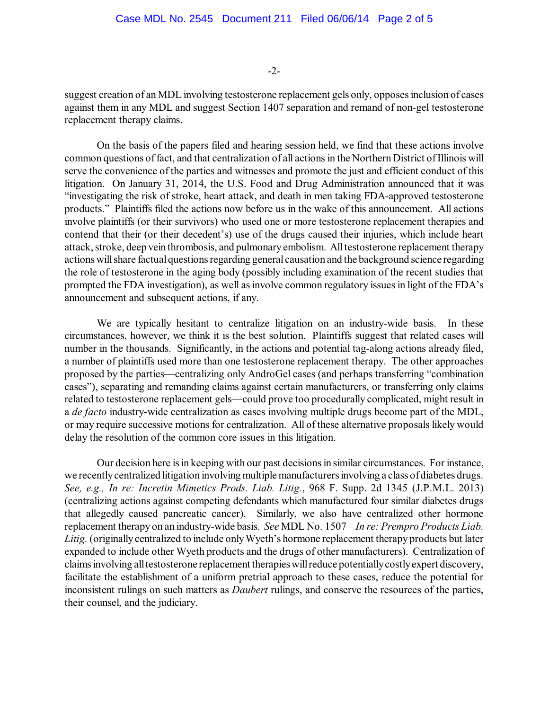-2-

suggest creation of an MDL involving testosterone replacement gels only, opposesinclusion of cases against them in any MDL and suggest Section 1407 separation and remand of non-gel testosterone replacement therapy claims.

On the basis of the papers filed and hearing session held, we find that these actions involve common questions of fact, and that centralization of all actions in the Northern District of Illinois will serve the convenience of the parties and witnesses and promote the just and efficient conduct of this litigation. On January 31, 2014, the U.S. Food and Drug Administration announced that it was "investigating the risk of stroke, heart attack, and death in men taking FDA-approved testosterone products." Plaintiffs filed the actions now before us in the wake of this announcement. All actions involve plaintiffs (or their survivors) who used one or more testosterone replacement therapies and contend that their (or their decedent's) use of the drugs caused their injuries, which include heart attack, stroke, deep vein thrombosis, and pulmonaryembolism. Alltestosterone replacement therapy actions will share factual questions regarding general causation and the background science regarding the role of testosterone in the aging body (possibly including examination of the recent studies that prompted the FDA investigation), as well as involve common regulatory issues in light of the FDA's announcement and subsequent actions, if any.

We are typically hesitant to centralize litigation on an industry-wide basis. In these circumstances, however, we think it is the best solution. Plaintiffs suggest that related cases will number in the thousands. Significantly, in the actions and potential tag-along actions already filed, a number of plaintiffs used more than one testosterone replacement therapy. The other approaches proposed by the parties—centralizing only AndroGel cases (and perhaps transferring "combination cases"), separating and remanding claims against certain manufacturers, or transferring only claims related to testosterone replacement gels—could prove too procedurally complicated, might result in a *de facto* industry-wide centralization as cases involving multiple drugs become part of the MDL, or may require successive motions for centralization. All of these alternative proposals likely would delay the resolution of the common core issues in this litigation.

Our decision here is in keeping with our past decisions in similar circumstances. For instance, we recentlycentralized litigation involving multiple manufacturersinvolving a class ofdiabetes drugs. *See, e.g., In re: Incretin Mimetics Prods. Liab. Litig.*, 968 F. Supp. 2d 1345 (J.P.M.L. 2013) (centralizing actions against competing defendants which manufactured four similar diabetes drugs that allegedly caused pancreatic cancer). Similarly, we also have centralized other hormone replacement therapy on an industry-wide basis. *See* MDL No. 1507 – *In re: Prempro Products Liab.* Litig. (originally centralized to include only Wyeth's hormone replacement therapy products but later expanded to include other Wyeth products and the drugs of other manufacturers). Centralization of claimsinvolving alltestosterone replacement therapieswillreduce potentiallycostlyexpert discovery, facilitate the establishment of a uniform pretrial approach to these cases, reduce the potential for inconsistent rulings on such matters as *Daubert* rulings, and conserve the resources of the parties, their counsel, and the judiciary.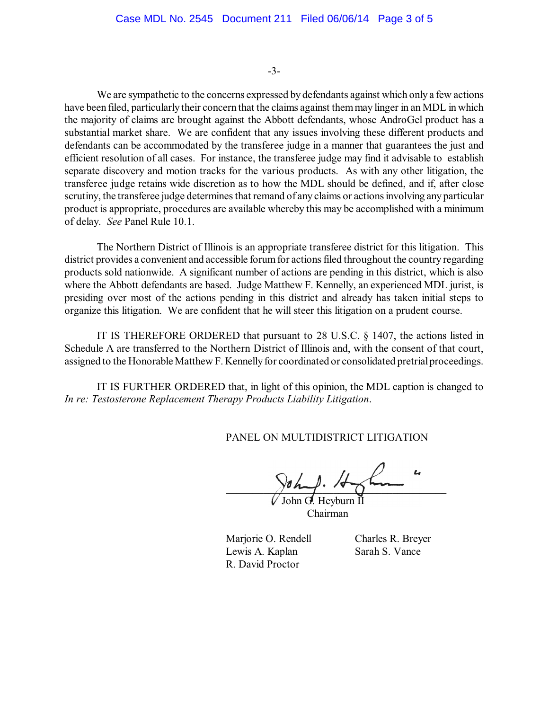-3-

We are sympathetic to the concerns expressed by defendants against which only a few actions have been filed, particularly their concern that the claims against themmay linger in an MDL in which the majority of claims are brought against the Abbott defendants, whose AndroGel product has a substantial market share. We are confident that any issues involving these different products and defendants can be accommodated by the transferee judge in a manner that guarantees the just and efficient resolution of all cases. For instance, the transferee judge may find it advisable to establish separate discovery and motion tracks for the various products. As with any other litigation, the transferee judge retains wide discretion as to how the MDL should be defined, and if, after close scrutiny, the transferee judge determines that remand of any claims or actions involving any particular product is appropriate, procedures are available whereby this may be accomplished with a minimum of delay. *See* Panel Rule 10.1.

The Northern District of Illinois is an appropriate transferee district for this litigation. This district provides a convenient and accessible forum for actions filed throughout the country regarding products sold nationwide. A significant number of actions are pending in this district, which is also where the Abbott defendants are based. Judge Matthew F. Kennelly, an experienced MDL jurist, is presiding over most of the actions pending in this district and already has taken initial steps to organize this litigation. We are confident that he will steer this litigation on a prudent course.

IT IS THEREFORE ORDERED that pursuant to 28 U.S.C. § 1407, the actions listed in Schedule A are transferred to the Northern District of Illinois and, with the consent of that court, assigned to the Honorable Matthew F. Kennelly for coordinated or consolidated pretrial proceedings.

IT IS FURTHER ORDERED that, in light of this opinion, the MDL caption is changed to *In re: Testosterone Replacement Therapy Products Liability Litigation*.

PANEL ON MULTIDISTRICT LITIGATION

 $\frac{1}{2}$ oh 1. John G. Heyburn II

Chairman

Marjorie O. Rendell Charles R. Breyer Lewis A. Kaplan Sarah S. Vance R. David Proctor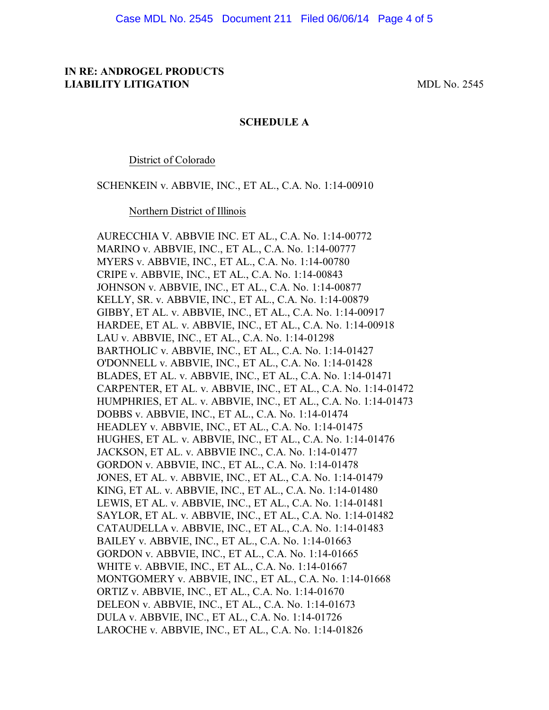## **IN RE: ANDROGEL PRODUCTS LIABILITY LITIGATION** MDL No. 2545

### **SCHEDULE A**

District of Colorado

SCHENKEIN v. ABBVIE, INC., ET AL., C.A. No. 1:14-00910

Northern District of Illinois

AURECCHIA V. ABBVIE INC. ET AL., C.A. No. 1:14-00772 MARINO v. ABBVIE, INC., ET AL., C.A. No. 1:14-00777 MYERS v. ABBVIE, INC., ET AL., C.A. No. 1:14-00780 CRIPE v. ABBVIE, INC., ET AL., C.A. No. 1:14-00843 JOHNSON v. ABBVIE, INC., ET AL., C.A. No. 1:14-00877 KELLY, SR. v. ABBVIE, INC., ET AL., C.A. No. 1:14-00879 GIBBY, ET AL. v. ABBVIE, INC., ET AL., C.A. No. 1:14-00917 HARDEE, ET AL. v. ABBVIE, INC., ET AL., C.A. No. 1:14-00918 LAU v. ABBVIE, INC., ET AL., C.A. No. 1:14-01298 BARTHOLIC v. ABBVIE, INC., ET AL., C.A. No. 1:14-01427 O'DONNELL v. ABBVIE, INC., ET AL., C.A. No. 1:14-01428 BLADES, ET AL. v. ABBVIE, INC., ET AL., C.A. No. 1:14-01471 CARPENTER, ET AL. v. ABBVIE, INC., ET AL., C.A. No. 1:14-01472 HUMPHRIES, ET AL. v. ABBVIE, INC., ET AL., C.A. No. 1:14-01473 DOBBS v. ABBVIE, INC., ET AL., C.A. No. 1:14-01474 HEADLEY v. ABBVIE, INC., ET AL., C.A. No. 1:14-01475 HUGHES, ET AL. v. ABBVIE, INC., ET AL., C.A. No. 1:14-01476 JACKSON, ET AL. v. ABBVIE INC., C.A. No. 1:14-01477 GORDON v. ABBVIE, INC., ET AL., C.A. No. 1:14-01478 JONES, ET AL. v. ABBVIE, INC., ET AL., C.A. No. 1:14-01479 KING, ET AL. v. ABBVIE, INC., ET AL., C.A. No. 1:14-01480 LEWIS, ET AL. v. ABBVIE, INC., ET AL., C.A. No. 1:14-01481 SAYLOR, ET AL. v. ABBVIE, INC., ET AL., C.A. No. 1:14-01482 CATAUDELLA v. ABBVIE, INC., ET AL., C.A. No. 1:14-01483 BAILEY v. ABBVIE, INC., ET AL., C.A. No. 1:14-01663 GORDON v. ABBVIE, INC., ET AL., C.A. No. 1:14-01665 WHITE v. ABBVIE, INC., ET AL., C.A. No. 1:14-01667 MONTGOMERY v. ABBVIE, INC., ET AL., C.A. No. 1:14-01668 ORTIZ v. ABBVIE, INC., ET AL., C.A. No. 1:14-01670 DELEON v. ABBVIE, INC., ET AL., C.A. No. 1:14-01673 DULA v. ABBVIE, INC., ET AL., C.A. No. 1:14-01726 LAROCHE v. ABBVIE, INC., ET AL., C.A. No. 1:14-01826